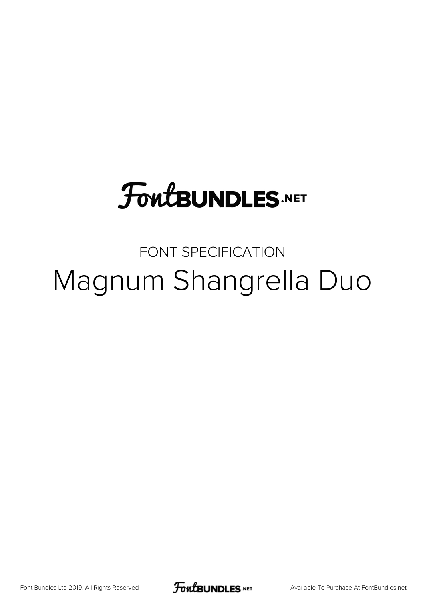## **FoutBUNDLES.NET**

#### FONT SPECIFICATION Magnum Shangrella Duo

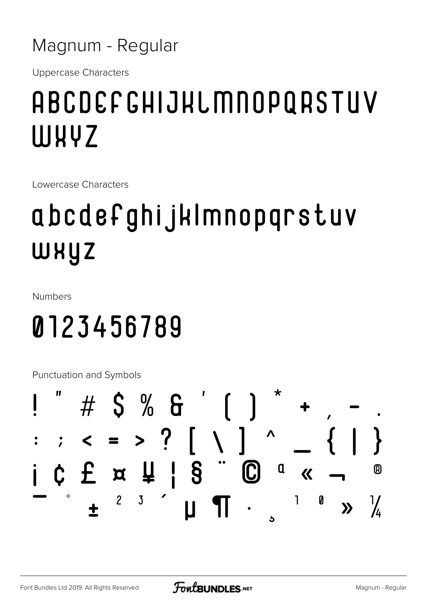#### Magnum - Regular

**Uppercase Characters** 

### ABCDEFCHIJKLMNOPQRSTUV **WWVZ**

Lowercase Characters

# abcdefghijkImnopqrstuv WHYZ

**Numbers** 

### 0123456789

Punctuation and Symbols

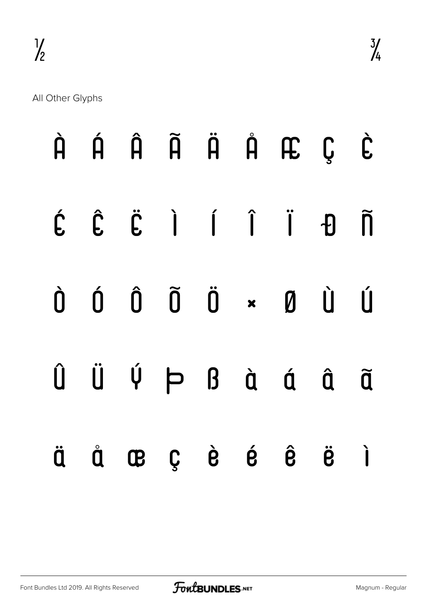All Other Glyphs

|  |  |  | $\hat{A}$ $\hat{A}$ $\hat{A}$ $\hat{B}$ $\hat{B}$ $\hat{B}$ $\hat{C}$ $\hat{C}$                                                                                                                                                                                                                                                |                                |  |
|--|--|--|--------------------------------------------------------------------------------------------------------------------------------------------------------------------------------------------------------------------------------------------------------------------------------------------------------------------------------|--------------------------------|--|
|  |  |  | $\begin{array}{ccccccccccccccccc} \hat{E} & \hat{E} & \hat{E} & \hat{I} & \hat{I} & \hat{I} & \hat{I} & \hat{B} & \tilde{\Pi} \end{array}$                                                                                                                                                                                     |                                |  |
|  |  |  | $\begin{matrix} 0 & 0 & 0 & 0 \\ 0 & 0 & 0 & 0 \\ 0 & 0 & 0 & 0 \\ 0 & 0 & 0 & 0 \\ 0 & 0 & 0 & 0 \\ 0 & 0 & 0 & 0 \\ 0 & 0 & 0 & 0 \\ 0 & 0 & 0 & 0 \\ 0 & 0 & 0 & 0 \\ 0 & 0 & 0 & 0 \\ 0 & 0 & 0 & 0 \\ 0 & 0 & 0 & 0 & 0 \\ 0 & 0 & 0 & 0 & 0 \\ 0 & 0 & 0 & 0 & 0 \\ 0 & 0 & 0 & 0 & 0 \\ 0 & 0 & 0 & 0 & 0 & 0 \\ 0 & 0$ |                                |  |
|  |  |  | Û Ü Ý Þ ß à á â ã                                                                                                                                                                                                                                                                                                              |                                |  |
|  |  |  | ä å æ ç è é ê                                                                                                                                                                                                                                                                                                                  | $\ddot{\theta}$ $\dot{\theta}$ |  |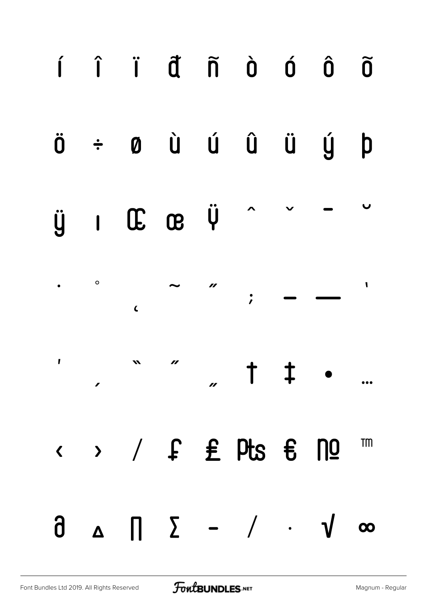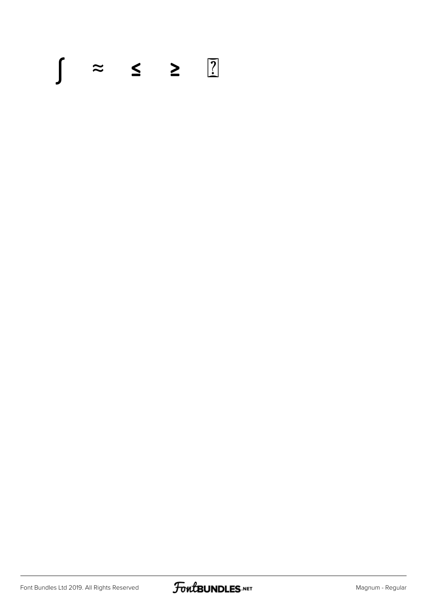#### $\int$  ≈ ≤ ≥  $\boxed{?}$

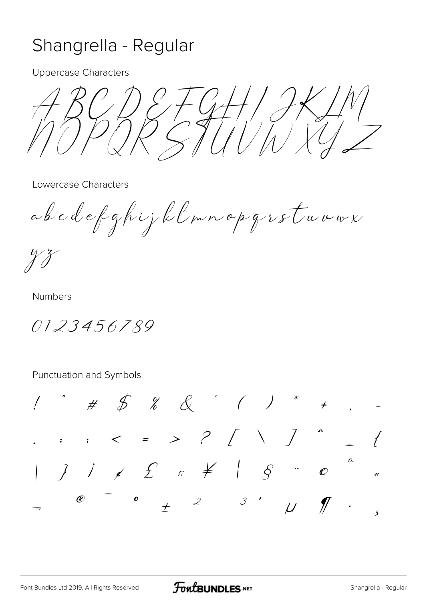#### Shangrella - Regular

**Uppercase Characters** 

 $\begin{array}{c} \prime \end{array}$  $1\not\!\!\!\!\times$  $\left($   $\left| \frac{1}{A} \right|$ 

Lowercase Characters

abcdefghijklmnopgrstuvwx

**Numbers** 

0123456789

Punctuation and Symbols

 $\begin{array}{ccccccccc} \mathcal{S} & \mathcal{Z} & \mathcal{Z} & \mathcal{Z} & \mathcal{Z} & \mathcal{Z} & \mathcal{Z} & \mathcal{Z} & \mathcal{Z} & \mathcal{Z} & \mathcal{Z} & \mathcal{Z} & \mathcal{Z} & \mathcal{Z} & \mathcal{Z} & \mathcal{Z} & \mathcal{Z} & \mathcal{Z} & \mathcal{Z} & \mathcal{Z} & \mathcal{Z} & \mathcal{Z} & \mathcal{Z} & \mathcal{Z} & \mathcal{Z} & \mathcal{Z} & \mathcal{Z} & \mathcal{Z} & \mathcal{Z} & \mathcal{Z} & \$  $#$  $\frac{1}{2}$  :  $\frac{1}{2}$   $\frac{1}{2}$   $\frac{1}{2}$   $\frac{1}{2}$   $\frac{1}{2}$   $\frac{1}{2}$   $\frac{1}{2}$   $\frac{1}{2}$   $\frac{1}{2}$   $\frac{1}{2}$   $\frac{1}{2}$   $\frac{1}{2}$   $\frac{1}{2}$   $\frac{1}{2}$   $\frac{1}{2}$   $\frac{1}{2}$   $\frac{1}{2}$   $\frac{1}{2}$   $\frac{1}{2}$   $\frac{1}{2}$   $\frac{1}{2}$  $\alpha$  $J$   $\prime$   $\neq$   $f$   $x$   $\neq$   $|$   $g$  .  $\mathcal{O}$ u  $\pm$  2  $\overline{\mathcal{S}}$  $\mathscr{C}$  $\overline{\phantom{a}}$   $\overline{\phantom{a}}$  $\overline{U}$  $\overline{\mathbf{A}}$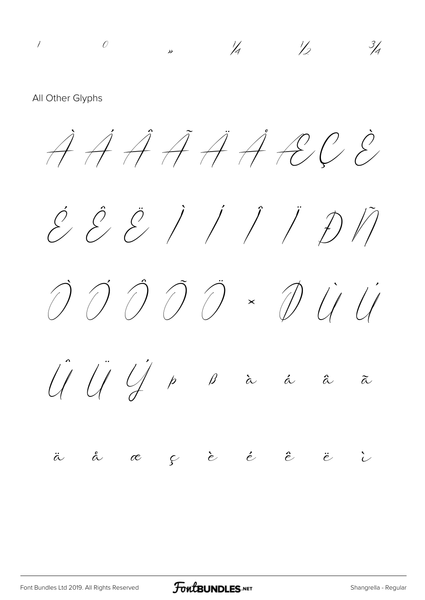$\frac{1}{2}$  0  $\frac{3}{4}$   $\frac{1}{2}$   $\frac{3}{4}$ All Other Glyphs  $\hat{A} \hat{A} \hat{A} \hat{A} \hat{A} \hat{C} \hat{C}$  $\acute{\mathcal{E}}$   $\acute{\mathcal{E}}$   $\acute{\mathcal{E}}$   $\acute{\mathcal{E}}$   $\acute{\mathcal{E}}$   $\acute{\mathcal{E}}$   $\acute{\mathcal{E}}$   $\acute{\mathcal{E}}$   $\acute{\mathcal{E}}$   $\acute{\mathcal{E}}$   $\acute{\mathcal{E}}$   $\acute{\mathcal{E}}$   $\acute{\mathcal{E}}$   $\acute{\mathcal{E}}$   $\acute{\mathcal{E}}$   $\acute{\mathcal{E}}$   $\acute{\mathcal{E}}$   $\acute{\mathcal{E}}$   $\acute{\mathcal{E}}$   $\acute{\mathcal{E}}$  Ò Ó Ô Õ Ö × Ø Ù Ú  $\bigcup_{i=1}^{\infty}\bigcup_{j=1}^{n_i} \bigcup_{j=1}^{n_i} p_j \quad \text{a. a. a. a. a.}$  $\ddot{a}$   $\ddot{a}$   $\alpha$   $\dot{c}$   $\dot{e}$   $\ddot{e}$   $\ddot{e}$   $\ddot{e}$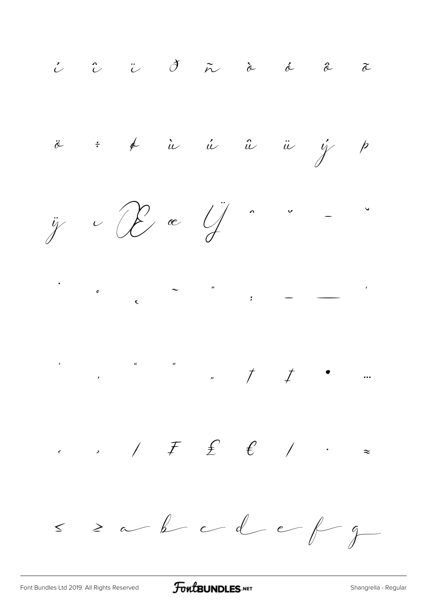í î ï ð ñ ò ó ô õ ö ÷ ø ù ú û ü ý þ  $\ddot{y}$   $\vee$   $\bigotimes$  as  $\bigotimes$   $\cdots$   $\vdots$ ˙ ˚ ˛ ˜ ˝ ; – — ' ' ' " " " † ‡ • … ‹ › ⁄ ₣ ₤ € ∕ ∙ ≈ ≤ ≥

[Font Bundles Ltd 2019. All Rights Reserved](https://fontbundles.net/) **FoutBUNDLES.NET** [Shangrella - Regular](https://fontbundles.net/)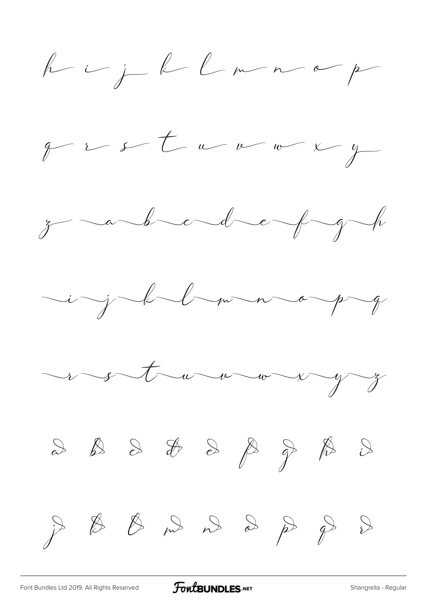

[Font Bundles Ltd 2019. All Rights Reserved](https://fontbundles.net/) **FoutBUNDLES.NET** [Shangrella - Regular](https://fontbundles.net/)